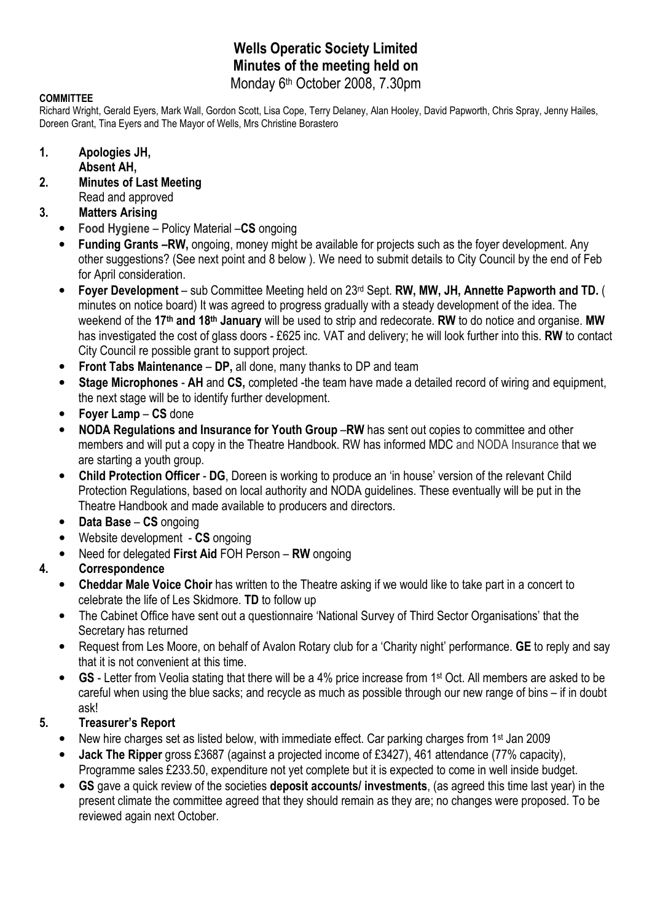## Wells Operatic Society Limited Minutes of the meeting held on Monday 6th October 2008, 7.30pm

#### **COMMITTEE**

Richard Wright, Gerald Eyers, Mark Wall, Gordon Scott, Lisa Cope, Terry Delaney, Alan Hooley, David Papworth, Chris Spray, Jenny Hailes, Doreen Grant, Tina Eyers and The Mayor of Wells, Mrs Christine Borastero

#### 1. Apologies JH,

- Absent AH,
- 2. Minutes of Last Meeting Read and approved
- 3. Matters Arising
	- Food Hygiene Policy Material –CS ongoing
	- Funding Grants –RW, ongoing, money might be available for projects such as the foyer development. Any other suggestions? (See next point and 8 below ). We need to submit details to City Council by the end of Feb for April consideration.
	- Foyer Development sub Committee Meeting held on 23rd Sept. RW, MW, JH, Annette Papworth and TD. ( minutes on notice board) It was agreed to progress gradually with a steady development of the idea. The weekend of the 17<sup>th</sup> and 18<sup>th</sup> January will be used to strip and redecorate. RW to do notice and organise. MW has investigated the cost of glass doors - £625 inc. VAT and delivery; he will look further into this. RW to contact City Council re possible grant to support project.
	- Front Tabs Maintenance DP, all done, many thanks to DP and team
	- Stage Microphones AH and CS, completed -the team have made a detailed record of wiring and equipment, the next stage will be to identify further development.
	- Foyer Lamp CS done
	- NODA Regulations and Insurance for Youth Group –RW has sent out copies to committee and other members and will put a copy in the Theatre Handbook. RW has informed MDC and NODA Insurance that we are starting a youth group.
	- Child Protection Officer DG, Doreen is working to produce an 'in house' version of the relevant Child Protection Regulations, based on local authority and NODA guidelines. These eventually will be put in the Theatre Handbook and made available to producers and directors.
	- Data Base CS ongoing
	- Website development CS ongoing
	- Need for delegated First Aid FOH Person RW ongoing

#### 4. Correspondence

- Cheddar Male Voice Choir has written to the Theatre asking if we would like to take part in a concert to celebrate the life of Les Skidmore. TD to follow up
- The Cabinet Office have sent out a questionnaire 'National Survey of Third Sector Organisations' that the Secretary has returned
- Request from Les Moore, on behalf of Avalon Rotary club for a 'Charity night' performance. GE to reply and say that it is not convenient at this time.
- GS Letter from Veolia stating that there will be a 4% price increase from 1<sup>st</sup> Oct. All members are asked to be careful when using the blue sacks; and recycle as much as possible through our new range of bins – if in doubt ask!

#### 5. Treasurer's Report

- New hire charges set as listed below, with immediate effect. Car parking charges from 1st Jan 2009
- Jack The Ripper gross £3687 (against a projected income of £3427), 461 attendance (77% capacity), Programme sales £233.50, expenditure not yet complete but it is expected to come in well inside budget.
- GS gave a quick review of the societies deposit accounts/ investments, (as agreed this time last year) in the present climate the committee agreed that they should remain as they are; no changes were proposed. To be reviewed again next October.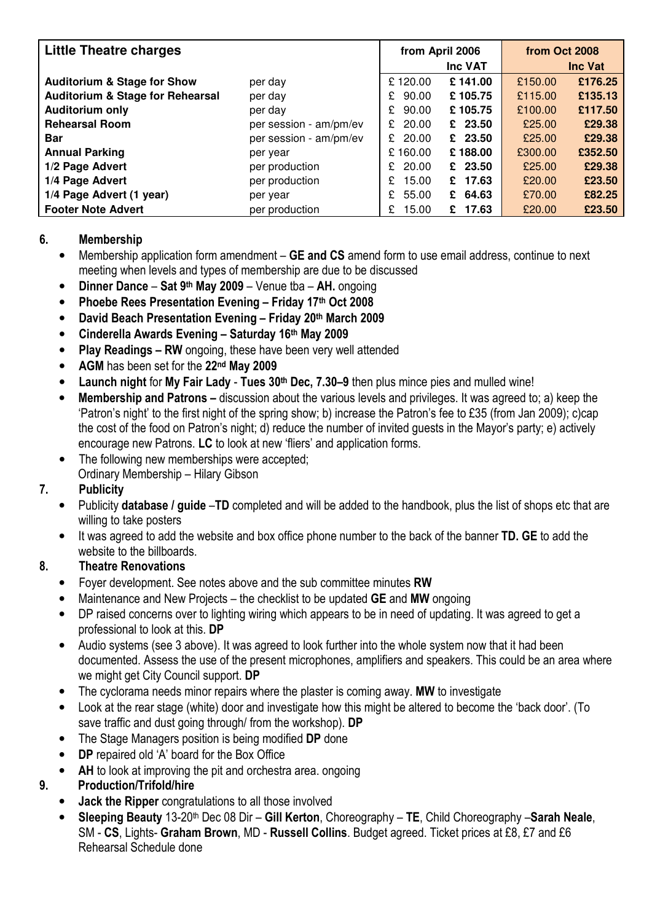| <b>Little Theatre charges</b>               |                        | from April 2006 |            | from Oct 2008  |         |
|---------------------------------------------|------------------------|-----------------|------------|----------------|---------|
|                                             |                        | Inc VAT         |            | <b>Inc Vat</b> |         |
| <b>Auditorium &amp; Stage for Show</b>      | per day                | £120.00         | £141.00    | £150.00        | £176.25 |
| <b>Auditorium &amp; Stage for Rehearsal</b> | per day                | 90.00<br>£.     | £105.75    | £115.00        | £135.13 |
| <b>Auditorium only</b>                      | per day                | 90.00<br>£.     | £105.75    | £100.00        | £117.50 |
| <b>Rehearsal Room</b>                       | per session - am/pm/ev | 20.00<br>£.     | $£$ 23.50  | £25.00         | £29.38  |
| <b>Bar</b>                                  | per session - am/pm/ev | £ 20.00         | £ $23.50$  | £25.00         | £29.38  |
| <b>Annual Parking</b>                       | per year               | £160.00         | £188.00    | £300.00        | £352.50 |
| 1/2 Page Advert                             | per production         | 20.00<br>£.     | $£$ 23.50  | £25.00         | £29.38  |
| 1/4 Page Advert                             | per production         | 15.00<br>£      | £ 17.63    | £20.00         | £23.50  |
| 1/4 Page Advert (1 year)                    | per year               | 55.00<br>£.     | £ 64.63    | £70.00         | £82.25  |
| <b>Footer Note Advert</b>                   | per production         | 15.00<br>£      | 17.63<br>£ | £20.00         | £23.50  |

#### 6. Membership

- Membership application form amendment GE and CS amend form to use email address, continue to next meeting when levels and types of membership are due to be discussed
- Dinner Dance Sat 9th May 2009 Venue tba AH. ongoing
- Phoebe Rees Presentation Evening Friday 17th Oct 2008
- David Beach Presentation Evening Friday 20th March 2009
- Cinderella Awards Evening Saturday 16th May 2009
- Play Readings RW ongoing, these have been very well attended
- AGM has been set for the 22<sup>nd</sup> May 2009
- Launch night for My Fair Lady Tues 30<sup>th</sup> Dec, 7.30–9 then plus mince pies and mulled wine!
- Membership and Patrons discussion about the various levels and privileges. It was agreed to; a) keep the 'Patron's night' to the first night of the spring show; b) increase the Patron's fee to £35 (from Jan 2009); c)cap the cost of the food on Patron's night; d) reduce the number of invited guests in the Mayor's party; e) actively encourage new Patrons. LC to look at new 'fliers' and application forms.
- The following new memberships were accepted; Ordinary Membership – Hilary Gibson

## 7. Publicity

- Publicity database / guide –TD completed and will be added to the handbook, plus the list of shops etc that are willing to take posters
- It was agreed to add the website and box office phone number to the back of the banner TD. GE to add the website to the billboards.

## 8. Theatre Renovations

- Foyer development. See notes above and the sub committee minutes RW
- Maintenance and New Projects the checklist to be updated **GE** and **MW** ongoing
- DP raised concerns over to lighting wiring which appears to be in need of updating. It was agreed to get a professional to look at this. DP
- Audio systems (see 3 above). It was agreed to look further into the whole system now that it had been documented. Assess the use of the present microphones, amplifiers and speakers. This could be an area where we might get City Council support. DP
- The cyclorama needs minor repairs where the plaster is coming away. MW to investigate
- Look at the rear stage (white) door and investigate how this might be altered to become the 'back door'. (To save traffic and dust going through/ from the workshop). DP
- The Stage Managers position is being modified DP done
- DP repaired old 'A' board for the Box Office
- AH to look at improving the pit and orchestra area. ongoing

## 9. Production/Trifold/hire

- **Jack the Ripper congratulations to all those involved**
- Sleeping Beauty 13-20<sup>th</sup> Dec 08 Dir Gill Kerton, Choreography TE, Child Choreography Sarah Neale, SM - CS, Lights- Graham Brown, MD - Russell Collins. Budget agreed. Ticket prices at £8, £7 and £6 Rehearsal Schedule done